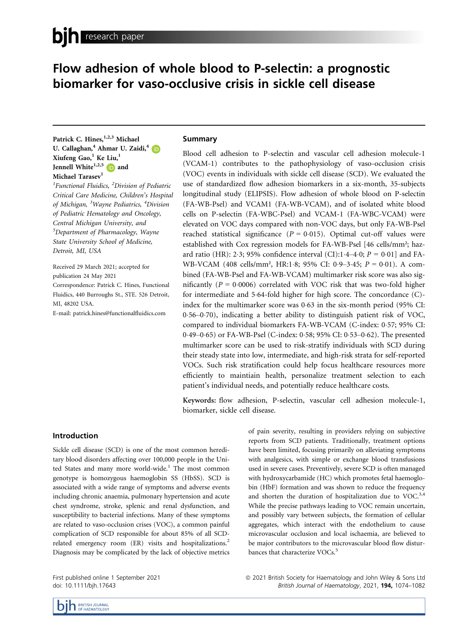# Flow adhesion of whole blood to P-selectin: a prognostic biomarker for vaso-occlusive crisis in sickle cell disease

Patrick C. Hines,<sup>1,2,3</sup> Michael U. Callaghan,<sup>4</sup> Ahmar U. Zaidi,<sup>4</sup> D Xiufeng Gao,<sup>1</sup> Ke Liu,<sup>1</sup> Jennell White $1,2,5$  and Michael Tarasev<sup>1</sup>

<sup>1</sup>Functional Fluidics, <sup>2</sup>Division of Pediatric Critical Care Medicine, Children's Hospital of Michigan, <sup>3</sup>Wayne Pediatrics, <sup>4</sup>Division of Pediatric Hematology and Oncology, Central Michigan University, and 5 Department of Pharmacology, Wayne State University School of Medicine, Detroit, MI, USA

Received 29 March 2021; accepted for publication 24 May 2021 Correspondence: Patrick C. Hines, Functional Fluidics, 440 Burroughs St., STE. 526 Detroit, MI, 48202 USA.

E-mail: [patrick.hines@functionalfluidics.com](mailto:)

# Summary

Blood cell adhesion to P-selectin and vascular cell adhesion molecule-1 (VCAM-1) contributes to the pathophysiology of vaso-occlusion crisis (VOC) events in individuals with sickle cell disease (SCD). We evaluated the use of standardized flow adhesion biomarkers in a six-month, 35-subjects longitudinal study (ELIPSIS). Flow adhesion of whole blood on P-selectin (FA-WB-Psel) and VCAM1 (FA-WB-VCAM), and of isolated white blood cells on P-selectin (FA-WBC-Psel) and VCAM-1 (FA-WBC-VCAM) were elevated on VOC days compared with non-VOC days, but only FA-WB-Psel reached statistical significance ( $P = 0.015$ ). Optimal cut-off values were established with Cox regression models for FA-WB-Psel [46 cells/mm²; hazard ratio (HR): 2.3; 95% confidence interval (CI):1.4-4.0;  $P = 0.01$ ] and FA-WB-VCAM (408 cells/mm<sup>2</sup>, HR:1.8; 95% CI: 0.9-3.45; P = 0.01). A combined (FA-WB-Psel and FA-WB-VCAM) multimarker risk score was also significantly ( $P = 0.0006$ ) correlated with VOC risk that was two-fold higher for intermediate and 564-fold higher for high score. The concordance (C) index for the multimarker score was 0.63 in the six-month period (95% CI: 056–070), indicating a better ability to distinguish patient risk of VOC, compared to individual biomarkers FA-WB-VCAM (C-index: 0.57; 95% CI: 0.49–0.65) or FA-WB-Psel (C-index: 0.58; 95% CI: 0.53–0.62). The presented multimarker score can be used to risk-stratify individuals with SCD during their steady state into low, intermediate, and high-risk strata for self-reported VOCs. Such risk stratification could help focus healthcare resources more efficiently to maintiain health, personalize treatment selection to each patient's individual needs, and potentially reduce healthcare costs.

Keywords: flow adhesion, P-selectin, vascular cell adhesion molecule-1, biomarker, sickle cell disease.

## Introduction

Sickle cell disease (SCD) is one of the most common hereditary blood disorders affecting over 100,000 people in the United States and many more world-wide.<sup>1</sup> The most common genotype is homozygous haemoglobin SS (HbSS). SCD is associated with a wide range of symptoms and adverse events including chronic anaemia, pulmonary hypertension and acute chest syndrome, stroke, splenic and renal dysfunction, and susceptibility to bacterial infections. Many of these symptoms are related to vaso-occlusion crises (VOC), a common painful complication of SCD responsible for about 85% of all SCDrelated emergency room (ER) visits and hospitalizations.<sup>2</sup> Diagnosis may be complicated by the lack of objective metrics of pain severity, resulting in providers relying on subjective reports from SCD patients. Traditionally, treatment options have been limited, focusing primarily on alleviating symptoms with analgesics, with simple or exchange blood transfusions used in severe cases. Preventively, severe SCD is often managed with hydroxycarbamide (HC) which promotes fetal haemoglobin (HbF) formation and was shown to reduce the frequency and shorten the duration of hospitalization due to VOC. $3,4$ While the precise pathways leading to VOC remain uncertain, and possibly vary between subjects, the formation of cellular aggregates, which interact with the endothelium to cause microvascular occlusion and local ischaemia, are believed to be major contributors to the microvascular blood flow disturbances that characterize VOCs.<sup>5</sup>

First published online 1 September 2021 doi: 10.1111/bjh.17643

ª 2021 British Society for Haematology and John Wiley & Sons Ltd British Journal of Haematology, 2021, 194, 1074–1082

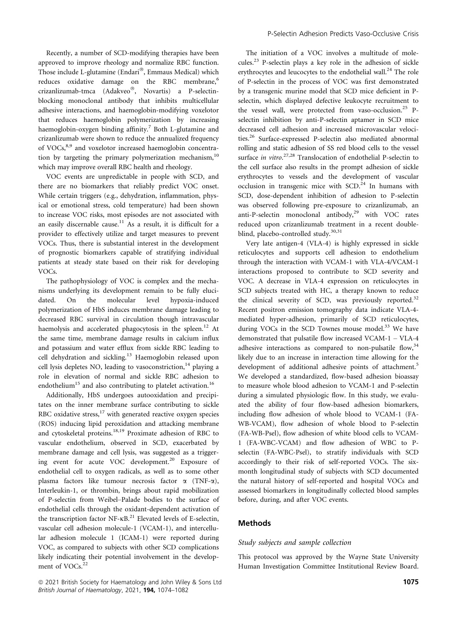Recently, a number of SCD-modifying therapies have been approved to improve rheology and normalize RBC function. Those include L-glutamine (Endari®, Emmaus Medical) which reduces oxidative damage on the RBC membrane,<sup>6</sup> crizanlizumab-tmca (Adakveo®, Novartis) a P-selectinblocking monoclonal antibody that inhibits multicellular adhesive interactions, and haemoglobin-modifying voxelotor that reduces haemoglobin polymerization by increasing haemoglobin-oxygen binding affinity.<sup>7</sup> Both L-glutamine and crizanlizumab were shown to reduce the annualized frequency of VOCs,<sup>8,9</sup> and voxelotor increased haemoglobin concentration by targeting the primary polymerization mechanism, $10$ which may improve overall RBC health and rheology.

VOC events are unpredictable in people with SCD, and there are no biomarkers that reliably predict VOC onset. While certain triggers (e.g., dehydration, inflammation, physical or emotional stress, cold temperature) had been shown to increase VOC risks, most episodes are not associated with an easily discernable cause.<sup>11</sup> As a result, it is difficult for a provider to effectively utilize and target measures to prevent VOCs. Thus, there is substantial interest in the development of prognostic biomarkers capable of stratifying individual patients at steady state based on their risk for developing VOCs.

The pathophysiology of VOC is complex and the mechanisms underlying its development remain to be fully elucidated. On the molecular level hypoxia-induced polymerization of HbS induces membrane damage leading to decreased RBC survival in circulation though intravascular haemolysis and accelerated phagocytosis in the spleen.<sup>12</sup> At the same time, membrane damage results in calcium influx and potassium and water efflux from sickle RBC leading to cell dehydration and sickling.<sup>13</sup> Haemoglobin released upon cell lysis depletes NO, leading to vasoconstriction, $^{14}$  playing a role in elevation of normal and sickle RBC adhesion to endothelium<sup>15</sup> and also contributing to platelet activation.<sup>16</sup>

Additionally, HbS undergoes autooxidation and precipitates on the inner membrane surface contributing to sickle RBC oxidative stress, $17$  with generated reactive oxygen species (ROS) inducing lipid peroxidation and attacking membrane and cytoskeletal proteins.18,19 Proximate adhesion of RBC to vascular endothelium, observed in SCD, exacerbated by membrane damage and cell lysis, was suggested as a triggering event for acute VOC development.<sup>20</sup> Exposure of endothelial cell to oxygen radicals, as well as to some other plasma factors like tumour necrosis factor  $\alpha$  (TNF- $\alpha$ ), Interleukin-1, or thrombin, brings about rapid mobilization of P-selectin from Weibel–Palade bodies to the surface of endothelial cells through the oxidant-dependent activation of the transcription factor NF- $\kappa$ B.<sup>21</sup> Elevated levels of E-selectin, vascular cell adhesion molecule-1 (VCAM-1), and intercellular adhesion molecule 1 (ICAM-1) were reported during VOC, as compared to subjects with other SCD complications likely indicating their potential involvement in the development of VOCs.<sup>22</sup>

 $\degree$  2021 British Society for Haematology and John Wiley & Sons Ltd 1075 British Journal of Haematology, 2021, 194, 1074–1082

The initiation of a VOC involves a multitude of molecules.23 P-selectin plays a key role in the adhesion of sickle erythrocytes and leucocytes to the endothelial wall.<sup>24</sup> The role of P-selectin in the process of VOC was first demonstrated by a transgenic murine model that SCD mice deficient in Pselectin, which displayed defective leukocyte recruitment to the vessel wall, were protected from vaso-occlusion.<sup>25</sup> Pselectin inhibition by anti-P-selectin aptamer in SCD mice decreased cell adhesion and increased microvascular velocities.<sup>26</sup> Surface-expressed P-selectin also mediated abnormal rolling and static adhesion of SS red blood cells to the vessel surface in vitro.<sup>27,28</sup> Translocation of endothelial P-selectin to the cell surface also results in the prompt adhesion of sickle erythrocytes to vessels and the development of vascular occlusion in transgenic mice with  $SCD<sup>24</sup>$  In humans with SCD, dose-dependent inhibition of adhesion to P-selectin was observed following pre-exposure to crizanlizumab, an anti-P-selectin monoclonal antibody, $29$  with VOC rates reduced upon crizanlizumab treatment in a recent doubleblind, placebo-controlled study.<sup>30,31</sup>

Very late antigen-4 (VLA-4) is highly expressed in sickle reticulocytes and supports cell adhesion to endothelium through the interaction with VCAM-1 with VLA-4/VCAM-1 interactions proposed to contribute to SCD severity and VOC. A decrease in VLA-4 expression on reticulocytes in SCD subjects treated with HC, a therapy known to reduce the clinical severity of SCD, was previously reported.<sup>32</sup> Recent positron emission tomography data indicate VLA-4 mediated hyper-adhesion, primarily of SCD reticulocytes, during VOCs in the SCD Townes mouse model.<sup>33</sup> We have demonstrated that pulsatile flow increased VCAM-1 – VLA-4 adhesive interactions as compared to non-pulsatile flow,  $34$ likely due to an increase in interaction time allowing for the development of additional adhesive points of attachment.<sup>5</sup> We developed a standardized, flow-based adhesion bioassay to measure whole blood adhesion to VCAM-1 and P-selectin during a simulated physiologic flow. In this study, we evaluated the ability of four flow-based adhesion biomarkers, including flow adhesion of whole blood to VCAM-1 (FA-WB-VCAM), flow adhesion of whole blood to P-selectin (FA-WB-Psel), flow adhesion of white blood cells to VCAM-1 (FA-WBC-VCAM) and flow adhesion of WBC to Pselectin (FA-WBC-Psel), to stratify individuals with SCD accordingly to their risk of self-reported VOCs. The sixmonth longitudinal study of subjects with SCD documented the natural history of self-reported and hospital VOCs and assessed biomarkers in longitudinally collected blood samples before, during, and after VOC events.

# Methods

## Study subjects and sample collection

This protocol was approved by the Wayne State University Human Investigation Committee Institutional Review Board.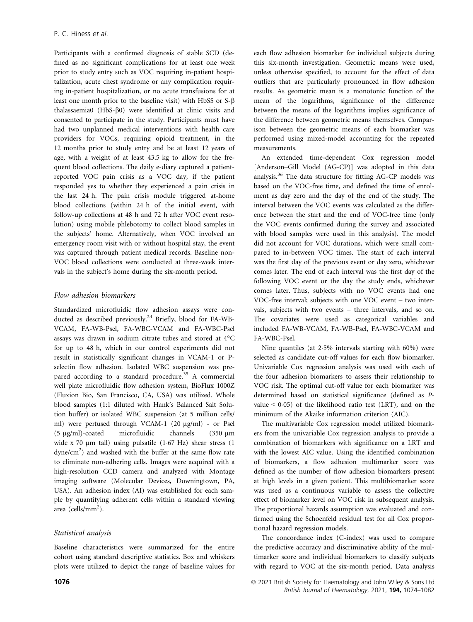Participants with a confirmed diagnosis of stable SCD (defined as no significant complications for at least one week prior to study entry such as VOC requiring in-patient hospitalization, acute chest syndrome or any complication requiring in-patient hospitalization, or no acute transfusions for at least one month prior to the baseline visit) with HbSS or  $S-\beta$ thalassaemia0 (HbS-β0) were identified at clinic visits and consented to participate in the study. Participants must have had two unplanned medical interventions with health care providers for VOCs, requiring opioid treatment, in the 12 months prior to study entry and be at least 12 years of age, with a weight of at least 43.5 kg to allow for the frequent blood collections. The daily e-diary captured a patientreported VOC pain crisis as a VOC day, if the patient responded yes to whether they experienced a pain crisis in the last 24 h. The pain crisis module triggered at-home blood collections (within 24 h of the initial event, with follow-up collections at 48 h and 72 h after VOC event resolution) using mobile phlebotomy to collect blood samples in the subjects' home. Alternatively, when VOC involved an emergency room visit with or without hospital stay, the event was captured through patient medical records. Baseline non-VOC blood collections were conducted at three-week intervals in the subject's home during the six-month period.

## Flow adhesion biomarkers

Standardized microfluidic flow adhesion assays were conducted as described previously.<sup>24</sup> Briefly, blood for FA-WB-VCAM, FA-WB-Psel, FA-WBC-VCAM and FA-WBC-Psel assays was drawn in sodium citrate tubes and stored at 4°C for up to 48 h, which in our control experiments did not result in statistically significant changes in VCAM-1 or Pselectin flow adhesion. Isolated WBC suspension was prepared according to a standard procedure.<sup>35</sup> A commercial well plate microfluidic flow adhesion system, BioFlux 1000Z (Fluxion Bio, San Francisco, CA, USA) was utilized. Whole blood samples (1:1 diluted with Hank's Balanced Salt Solution buffer) or isolated WBC suspension (at 5 million cells/ ml) were perfused through VCAM-1 (20 μg/ml) - or Psel (5 μg/ml)-coated microfluidic channels (350 μm wide x 70  $\mu$ m tall) using pulsatile (1.67 Hz) shear stress (1 dyne/cm<sup>2</sup>) and washed with the buffer at the same flow rate to eliminate non-adhering cells. Images were acquired with a high-resolution CCD camera and analyzed with Montage imaging software (Molecular Devices, Downingtown, PA, USA). An adhesion index (AI) was established for each sample by quantifying adherent cells within a standard viewing area (cells/mm<sup>2</sup>).

## Statistical analysis

Baseline characteristics were summarized for the entire cohort using standard descriptive statistics. Box and whiskers plots were utilized to depict the range of baseline values for each flow adhesion biomarker for individual subjects during this six-month investigation. Geometric means were used, unless otherwise specified, to account for the effect of data outliers that are particularly pronounced in flow adhesion results. As geometric mean is a monotonic function of the mean of the logarithms, significance of the difference between the means of the logarithms implies significance of the difference between geometric means themselves. Comparison between the geometric means of each biomarker was performed using mixed-model accounting for the repeated measurements.

An extended time-dependent Cox regression model [Anderson–Gill Model (AG-CP)] was adopted in this data analysis.<sup>36</sup> The data structure for fitting AG-CP models was based on the VOC-free time, and defined the time of enrolment as day zero and the day of the end of the study. The interval between the VOC events was calculated as the difference between the start and the end of VOC-free time (only the VOC events confirmed during the survey and associated with blood samples were used in this analysis). The model did not account for VOC durations, which were small compared to in-between VOC times. The start of each interval was the first day of the previous event or day zero, whichever comes later. The end of each interval was the first day of the following VOC event or the day the study ends, whichever comes later. Thus, subjects with no VOC events had one VOC-free interval; subjects with one VOC event – two intervals, subjects with two events – three intervals, and so on. The covariates were used as categorical variables and included FA-WB-VCAM, FA-WB-Psel, FA-WBC-VCAM and FA-WBC-Psel.

Nine quantiles (at 25% intervals starting with 60%) were selected as candidate cut-off values for each flow biomarker. Univariable Cox regression analysis was used with each of the four adhesion biomarkers to assess their relationship to VOC risk. The optimal cut-off value for each biomarker was determined based on statistical significance (defined as Pvalue  $\leq 0.05$ ) of the likelihood ratio test (LRT), and on the minimum of the Akaike information criterion (AIC).

The multivariable Cox regression model utilized biomarkers from the univariable Cox regression analysis to provide a combination of biomarkers with significance on a LRT and with the lowest AIC value. Using the identified combination of biomarkers, a flow adhesion multimarker score was defined as the number of flow adhesion biomarkers present at high levels in a given patient. This multibiomarker score was used as a continuous variable to assess the collective effect of biomarker level on VOC risk in subsequent analysis. The proportional hazards assumption was evaluated and confirmed using the Schoenfeld residual test for all Cox proportional hazard regression models.

The concordance index (C-index) was used to compare the predictive accuracy and discriminative ability of the multimarker score and individual biomarkers to classify subjects with regard to VOC at the six-month period. Data analysis

<sup>1076</sup> **1076 1076 2021 British Society for Haematology and John Wiley & Sons Ltd** British Journal of Haematology, 2021, 194, 1074–1082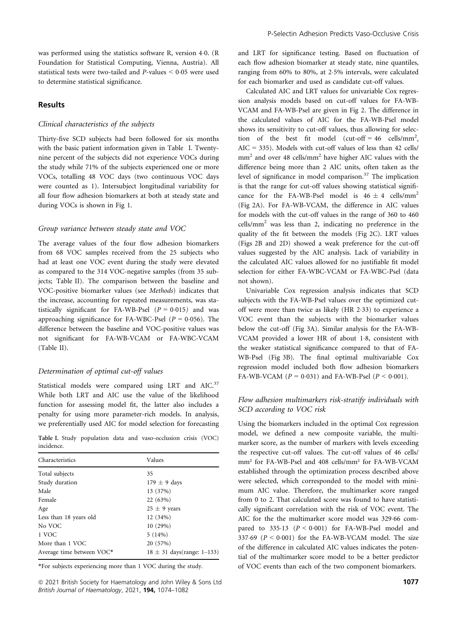was performed using the statistics software R, version 4.0. (R Foundation for Statistical Computing, Vienna, Austria). All statistical tests were two-tailed and  $P$ -values  $\leq 0.05$  were used to determine statistical significance.

#### Results

## Clinical characteristics of the subjects

Thirty-five SCD subjects had been followed for six months with the basic patient information given in Table I. Twentynine percent of the subjects did not experience VOCs during the study while 71% of the subjects experienced one or more VOCs, totalling 48 VOC days (two continuous VOC days were counted as 1). Intersubject longitudinal variability for all four flow adhesion biomarkers at both at steady state and during VOCs is shown in Fig 1.

#### Group variance between steady state and VOC

The average values of the four flow adhesion biomarkers from 68 VOC samples received from the 25 subjects who had at least one VOC event during the study were elevated as compared to the 314 VOC-negative samples (from 35 subjects; Table II). The comparison between the baseline and VOC-positive biomarker values (see Methods) indicates that the increase, accounting for repeated measurements, was statistically significant for FA-WB-Psel  $(P = 0.015)$  and was approaching significance for FA-WBC-Psel ( $P = 0.056$ ). The difference between the baseline and VOC-positive values was not significant for FA-WB-VCAM or FA-WBC-VCAM (Table II).

#### Determination of optimal cut-off values

Statistical models were compared using LRT and AIC.<sup>37</sup> While both LRT and AIC use the value of the likelihood function for assessing model fit, the latter also includes a penalty for using more parameter-rich models. In analysis, we preferentially used AIC for model selection for forecasting

Table I. Study population data and vaso-occlusion crisis (VOC) incidence.

| Characteristics           | Values                         |  |  |
|---------------------------|--------------------------------|--|--|
| Total subjects            | 35                             |  |  |
| Study duration            | $179 \pm 9$ days               |  |  |
| Male                      | 13 (37%)                       |  |  |
| Female                    | 22 (63%)                       |  |  |
| Age                       | $25 \pm 9$ years               |  |  |
| Less than 18 years old    | 12 (34%)                       |  |  |
| No VOC                    | 10(29%)                        |  |  |
| 1 VOC                     | 5(14%)                         |  |  |
| More than 1 VOC           | 20 (57%)                       |  |  |
| Average time between VOC* | $18 \pm 31$ days(range: 1–133) |  |  |

\*For subjects experiencing more than 1 VOC during the study.

 $\degree$  2021 British Society for Haematology and John Wiley & Sons Ltd 1077 and 1077 and 1077 and 1077 British Journal of Haematology, 2021, 194, 1074–1082

and LRT for significance testing. Based on fluctuation of each flow adhesion biomarker at steady state, nine quantiles, ranging from 60% to 80%, at 25% intervals, were calculated for each biomarker and used as candidate cut-off values.

Calculated AIC and LRT values for univariable Cox regression analysis models based on cut-off values for FA-WB-VCAM and FA-WB-Psel are given in Fig 2. The difference in the calculated values of AIC for the FA-WB-Psel model shows its sensitivity to cut-off values, thus allowing for selection of the best fit model (cut-off =  $46$  cells/mm<sup>2</sup>, AIC = 335). Models with cut-off values of less than 42 cells/  $mm<sup>2</sup>$  and over 48 cells/ $mm<sup>2</sup>$  have higher AIC values with the difference being more than 2 AIC units, often taken as the level of significance in model comparison.<sup>37</sup> The implication is that the range for cut-off values showing statistical significance for the FA-WB-Psel model is  $46 \pm 4$  cells/mm<sup>2</sup> (Fig 2A). For FA-WB-VCAM, the difference in AIC values for models with the cut-off values in the range of 360 to 460 cells/mm<sup>2</sup> was less than 2, indicating no preference in the quality of the fit between the models (Fig 2C). LRT values (Figs 2B and 2D) showed a weak preference for the cut-off values suggested by the AIC analysis. Lack of variability in the calculated AIC values allowed for no justifiable fit model selection for either FA-WBC-VCAM or FA-WBC-Psel (data not shown).

Univariable Cox regression analysis indicates that SCD subjects with the FA-WB-Psel values over the optimized cutoff were more than twice as likely (HR 2.33) to experience a VOC event than the subjects with the biomarker values below the cut-off (Fig 3A). Similar analysis for the FA-WB-VCAM provided a lower HR of about 1.8, consistent with the weaker statistical significance compared to that of FA-WB-Psel (Fig 3B). The final optimal multivariable Cox regression model included both flow adhesion biomarkers FA-WB-VCAM ( $P = 0.031$ ) and FA-WB-Psel ( $P < 0.001$ ).

## Flow adhesion multimarkers risk-stratify individuals with SCD according to VOC risk

Using the biomarkers included in the optimal Cox regression model, we defined a new composite variable, the multimarker score, as the number of markers with levels exceeding the respective cut-off values. The cut-off values of 46 cells/ mm² for FA-WB-Psel and 408 cells/mm² for FA-WB-VCAM established through the optimization process described above were selected, which corresponded to the model with minimum AIC value. Therefore, the multimarker score ranged from 0 to 2. That calculated score was found to have statistically significant correlation with the risk of VOC event. The AIC for the the multimarker score model was 329.66 compared to  $335.13$   $(P < 0.001)$  for FA-WB-Psel model and 337.69 ( $P < 0.001$ ) for the FA-WB-VCAM model. The size of the difference in calculated AIC values indicates the potential of the multimarker score model to be a better predictor of VOC events than each of the two component biomarkers.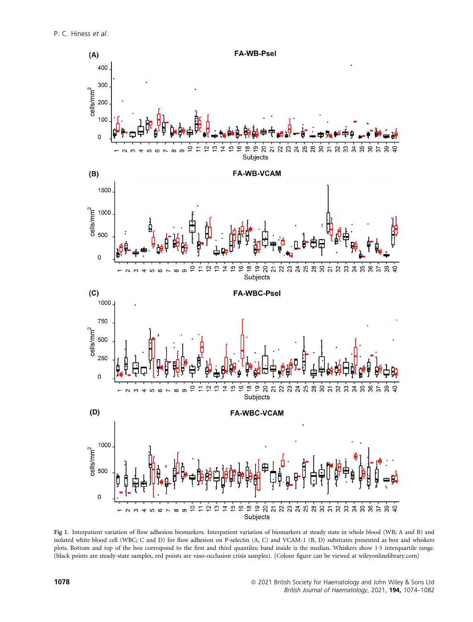

Fig 1. Interpatient variation of flow adhesion biomarkers. Interpatient variation of biomarkers at steady state in whole blood (WB; A and B) and isolated white blood cell (WBC; C and D) for flow adhesion on P-selectin (A, C) and VCAM-1 (B, D) substrates presented as box and whiskers plots. Bottom and top of the box correspond to the first and third quantiles; band inside is the median. Whiskers show 15 interquartile range. (black points are steady-state samples, red points are vaso-occlusion crisis samples). [Colour figure can be viewed at [wileyonlinelibrary.com](www.wileyonlinelibrary.com)]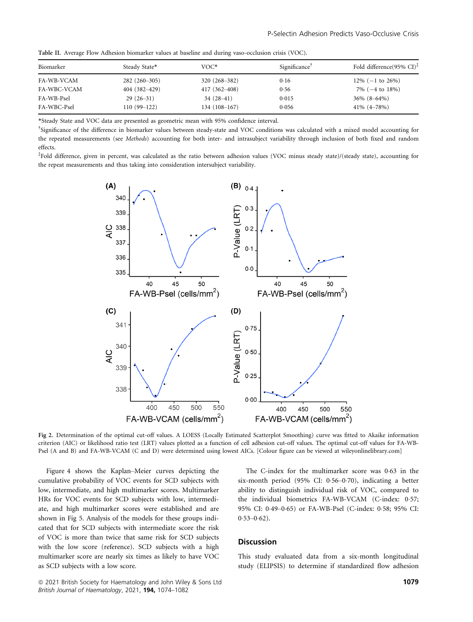| Biomarker   | Steady State*    | $VOC*$           | Significance | Fold difference(95% CI) <sup><math>\ddagger</math></sup> |
|-------------|------------------|------------------|--------------|----------------------------------------------------------|
| FA-WB-VCAM  | $282(260-305)$   | 320 (268-382)    | 0.16         | $12\%$ (-1 to 26%)                                       |
| FA-WBC-VCAM | $404(382 - 429)$ | $417(362 - 408)$ | 0.56         | $7\%$ ( $-4$ to $18\%$ )                                 |
| FA-WB-Psel  | $29(26-31)$      | $34(28-41)$      | 0.015        | $36\%$ $(8-64\%)$                                        |
| FA-WBC-Psel | $110(99-122)$    | $134(108-167)$   | 0.056        | $41\% (4 - 78\%)$                                        |

Table II. Average Flow Adhesion biomarker values at baseline and during vaso-occlusion crisis (VOC).

\*Steady State and VOC data are presented as geometric mean with 95% confidence interval.

† Significance of the difference in biomarker values between steady-state and VOC conditions was calculated with a mixed model accounting for the repeated measurements (see Methods) accounting for both inter- and intrasubject variability through inclusion of both fixed and random effects.

‡ Fold difference, given in percent, was calculated as the ratio between adhesion values (VOC minus steady state)/(steady state), accounting for the repeat measurements and thus taking into consideration intersubject variability.



Fig 2. Determination of the optimal cut-off values. A LOESS (Locally Estimated Scatterplot Smoothing) curve was fitted to Akaike information criterion (AIC) or likelihood ratio test (LRT) values plotted as a function of cell adhesion cut-off values. The optimal cut-off values for FA-WB-Psel (A and B) and FA-WB-VCAM (C and D) were determined using lowest AICs. [Colour figure can be viewed at [wileyonlinelibrary.com](www.wileyonlinelibrary.com)]

Figure 4 shows the Kaplan–Meier curves depicting the cumulative probability of VOC events for SCD subjects with low, intermediate, and high multimarker scores. Multimarker HRs for VOC events for SCD subjects with low, intermediate, and high multimarker scores were established and are shown in Fig 5. Analysis of the models for these groups indicated that for SCD subjects with intermediate score the risk of VOC is more than twice that same risk for SCD subjects with the low score (reference). SCD subjects with a high multimarker score are nearly six times as likely to have VOC as SCD subjects with a low score.

The C-index for the multimarker score was 063 in the six-month period  $(95\% \text{ CI: } 0.56-0.70)$ , indicating a better ability to distinguish individual risk of VOC, compared to the individual biometrics FA-WB-VCAM (C-index: 0.57; 95% CI: 049–065) or FA-WB-Psel (C-index: 058; 95% CI:  $0.53 - 0.62$ ).

## **Discussion**

This study evaluated data from a six-month longitudinal study (ELIPSIS) to determine if standardized flow adhesion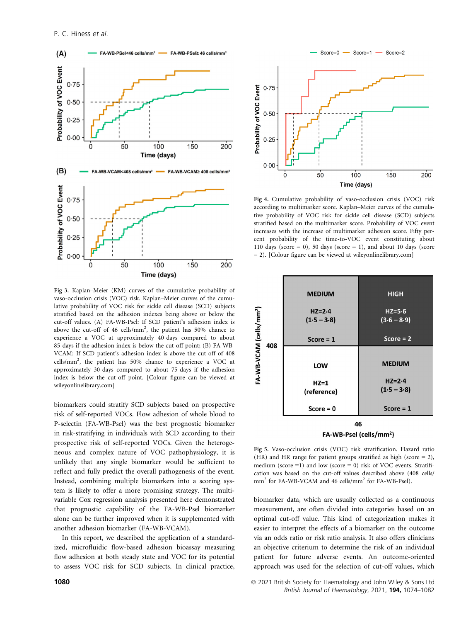

Fig 3. Kaplan–Meier (KM) curves of the cumulative probability of vaso-occlusion crisis (VOC) risk. Kaplan–Meier curves of the cumulative probability of VOC risk for sickle cell disease (SCD) subjects stratified based on the adhesion indexes being above or below the cut-off values. (A) FA-WB-Psel: If SCD patient's adhesion index is above the cut-off of 46 cells/mm<sup>2</sup>, the patient has 50% chance to experience a VOC at approximately 40 days compared to about 85 days if the adhesion index is below the cut-off point; (B) FA-WB-VCAM: If SCD patient's adhesion index is above the cut-off of 408 cells/mm2 , the patient has 50% chance to experience a VOC at approximately 30 days compared to about 75 days if the adhesion index is below the cut-off point. [Colour figure can be viewed at [wileyonlinelibrary.com\]](www.wileyonlinelibrary.com)

biomarkers could stratify SCD subjects based on prospective risk of self-reported VOCs. Flow adhesion of whole blood to P-selectin (FA-WB-Psel) was the best prognostic biomarker in risk-stratifying in individuals with SCD according to their prospective risk of self-reported VOCs. Given the heterogeneous and complex nature of VOC pathophysiology, it is unlikely that any single biomarker would be sufficient to reflect and fully predict the overall pathogenesis of the event. Instead, combining multiple biomarkers into a scoring system is likely to offer a more promising strategy. The multivariable Cox regression analysis presented here demonstrated that prognostic capability of the FA-WB-Psel biomarker alone can be further improved when it is supplemented with another adhesion biomarker (FA-WB-VCAM).

In this report, we described the application of a standardized, microfluidic flow-based adhesion bioassay measuring flow adhesion at both steady state and VOC for its potential to assess VOC risk for SCD subjects. In clinical practice,



Fig 4. Cumulative probability of vaso-occlusion crisis (VOC) risk according to multimarker score. Kaplan–Meier curves of the cumulative probability of VOC risk for sickle cell disease (SCD) subjects stratified based on the multimarker score. Probability of VOC event increases with the increase of multimarker adhesion score. Fifty percent probability of the time-to-VOC event constituting about 110 days (score = 0), 50 days (score = 1), and about 10 days (score = 2). [Colour figure can be viewed at [wileyonlinelibrary.com](www.wileyonlinelibrary.com)]



Fig 5. Vaso-occlusion crisis (VOC) risk stratification. Hazard ratio (HR) and HR range for patient groups stratified as high (score = 2), medium (score  $=1$ ) and low (score  $= 0$ ) risk of VOC events. Stratification was based on the cut-off values described above (408 cells/ mm<sup>2</sup> for FA-WB-VCAM and 46 cells/mm<sup>2</sup> for FA-WB-Psel).

biomarker data, which are usually collected as a continuous measurement, are often divided into categories based on an optimal cut-off value. This kind of categorization makes it easier to interpret the effects of a biomarker on the outcome via an odds ratio or risk ratio analysis. It also offers clinicians an objective criterium to determine the risk of an individual patient for future adverse events. An outcome-oriented approach was used for the selection of cut-off values, which

1080 **1080 1080 1080 1080 1080 1080 1080 1080 1080 1080 1080 1080 1080 1080 1080 1080 1080 1080 1080 1080 1080 1080 1080 1080 1080 1080 1080 1080 1080 1080 1080** British Journal of Haematology, 2021, 194, 1074–1082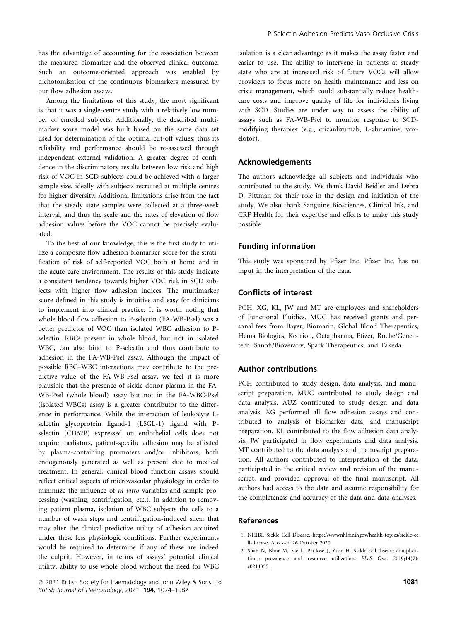has the advantage of accounting for the association between the measured biomarker and the observed clinical outcome. Such an outcome-oriented approach was enabled by dichotomization of the continuous biomarkers measured by our flow adhesion assays.

Among the limitations of this study, the most significant is that it was a single-centre study with a relatively low number of enrolled subjects. Additionally, the described multimarker score model was built based on the same data set used for determination of the optimal cut-off values; thus its reliability and performance should be re-assessed through independent external validation. A greater degree of confidence in the discriminatory results between low risk and high risk of VOC in SCD subjects could be achieved with a larger sample size, ideally with subjects recruited at multiple centres for higher diversity. Additional limitations arise from the fact that the steady state samples were collected at a three-week interval, and thus the scale and the rates of elevation of flow adhesion values before the VOC cannot be precisely evaluated.

To the best of our knowledge, this is the first study to utilize a composite flow adhesion biomarker score for the stratification of risk of self-reported VOC both at home and in the acute-care environment. The results of this study indicate a consistent tendency towards higher VOC risk in SCD subjects with higher flow adhesion indices. The multimarker score defined in this study is intuitive and easy for clinicians to implement into clinical practice. It is worth noting that whole blood flow adhesion to P-selectin (FA-WB-Psel) was a better predictor of VOC than isolated WBC adhesion to Pselectin. RBCs present in whole blood, but not in isolated WBC, can also bind to P-selectin and thus contribute to adhesion in the FA-WB-Psel assay. Although the impact of possible RBC–WBC interactions may contribute to the predictive value of the FA-WB-Psel assay, we feel it is more plausible that the presence of sickle donor plasma in the FA-WB-Psel (whole blood) assay but not in the FA-WBC-Psel (isolated WBCs) assay is a greater contributor to the difference in performance. While the interaction of leukocyte Lselectin glycoprotein ligand-1 (LSGL-1) ligand with Pselectin (CD62P) expressed on endothelial cells does not require mediators, patient-specific adhesion may be affected by plasma-containing promoters and/or inhibitors, both endogenously generated as well as present due to medical treatment. In general, clinical blood function assays should reflect critical aspects of microvascular physiology in order to minimize the influence of in vitro variables and sample processing (washing, centrifugation, etc.). In addition to removing patient plasma, isolation of WBC subjects the cells to a number of wash steps and centrifugation-induced shear that may alter the clinical predictive utility of adhesion acquired under these less physiologic conditions. Further experiments would be required to determine if any of these are indeed the culprit. However, in terms of assays' potential clinical utility, ability to use whole blood without the need for WBC

**a** 2021 British Society for Haematology and John Wiley & Sons Ltd 1081 British Journal of Haematology, 2021, 194, 1074–1082

isolation is a clear advantage as it makes the assay faster and easier to use. The ability to intervene in patients at steady state who are at increased risk of future VOCs will allow providers to focus more on health maintenance and less on crisis management, which could substantially reduce healthcare costs and improve quality of life for individuals living with SCD. Studies are under way to assess the ability of assays such as FA-WB-Psel to monitor response to SCDmodifying therapies (e.g., crizanlizumab, L-glutamine, voxelotor).

## Acknowledgements

The authors acknowledge all subjects and individuals who contributed to the study. We thank David Beidler and Debra D. Pittman for their role in the design and initiation of the study. We also thank Sanguine Biosciences, Clinical Ink, and CRF Health for their expertise and efforts to make this study possible.

## Funding information

This study was sponsored by Pfizer Inc. Pfizer Inc. has no input in the interpretation of the data.

## Conflicts of interest

PCH, XG, KL, JW and MT are employees and shareholders of Functional Fluidics. MUC has received grants and personal fees from Bayer, Biomarin, Global Blood Therapeutics, Hema Biologics, Kedrion, Octapharma, Pfizer, Roche/Genentech, Sanofi/Bioverativ, Spark Therapeutics, and Takeda.

## Author contributions

PCH contributed to study design, data analysis, and manuscript preparation. MUC contributed to study design and data analysis. AUZ contributed to study design and data analysis. XG performed all flow adhesion assays and contributed to analysis of biomarker data, and manuscript preparation. KL contributed to the flow adhesion data analysis. JW participated in flow experiments and data analysis. MT contributed to the data analysis and manuscript preparation. All authors contributed to interpretation of the data, participated in the critical review and revision of the manuscript, and provided approval of the final manuscript. All authors had access to the data and assume responsibility for the completeness and accuracy of the data and data analyses.

### References

- 1. NHIBI. Sickle Cell Disease. [https://wwwnhlbinihgov/health-topics/sickle-ce](https://wwwnhlbinihgov/health-topics/sickle-cell-disease) [ll-disease](https://wwwnhlbinihgov/health-topics/sickle-cell-disease). Accessed 26 October 2020.
- 2. Shah N, Bhor M, Xie L, Paulose J, Yuce H. Sickle cell disease complications: prevalence and resource utilization. PLoS One. 2019;14(7): e0214355.